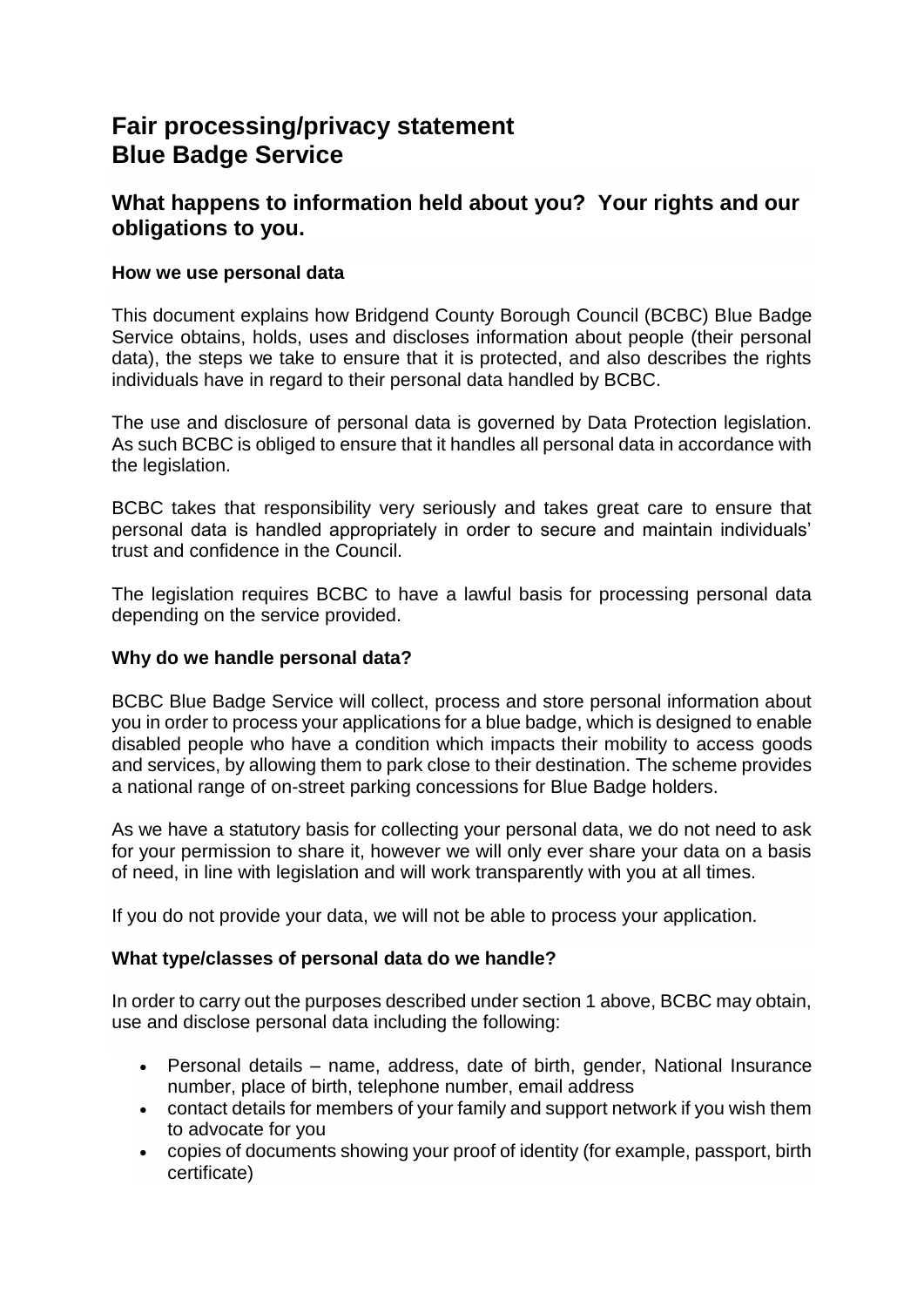# **Fair processing/privacy statement Blue Badge Service**

# **What happens to information held about you? Your rights and our obligations to you.**

# **How we use personal data**

This document explains how Bridgend County Borough Council (BCBC) Blue Badge Service obtains, holds, uses and discloses information about people (their personal data), the steps we take to ensure that it is protected, and also describes the rights individuals have in regard to their personal data handled by BCBC.

The use and disclosure of personal data is governed by Data Protection legislation. As such BCBC is obliged to ensure that it handles all personal data in accordance with the legislation.

BCBC takes that responsibility very seriously and takes great care to ensure that personal data is handled appropriately in order to secure and maintain individuals' trust and confidence in the Council.

The legislation requires BCBC to have a lawful basis for processing personal data depending on the service provided.

# **Why do we handle personal data?**

BCBC Blue Badge Service will collect, process and store personal information about you in order to process your applications for a blue badge, which is designed to enable disabled people who have a condition which impacts their mobility to access goods and services, by allowing them to park close to their destination. The scheme provides a national range of on-street parking concessions for Blue Badge holders.

As we have a statutory basis for collecting your personal data, we do not need to ask for your permission to share it, however we will only ever share your data on a basis of need, in line with legislation and will work transparently with you at all times.

If you do not provide your data, we will not be able to process your application.

# **What type/classes of personal data do we handle?**

In order to carry out the purposes described under section 1 above, BCBC may obtain, use and disclose personal data including the following:

- Personal details name, address, date of birth, gender, National Insurance number, place of birth, telephone number, email address
- contact details for members of your family and support network if you wish them to advocate for you
- copies of documents showing your proof of identity (for example, passport, birth certificate)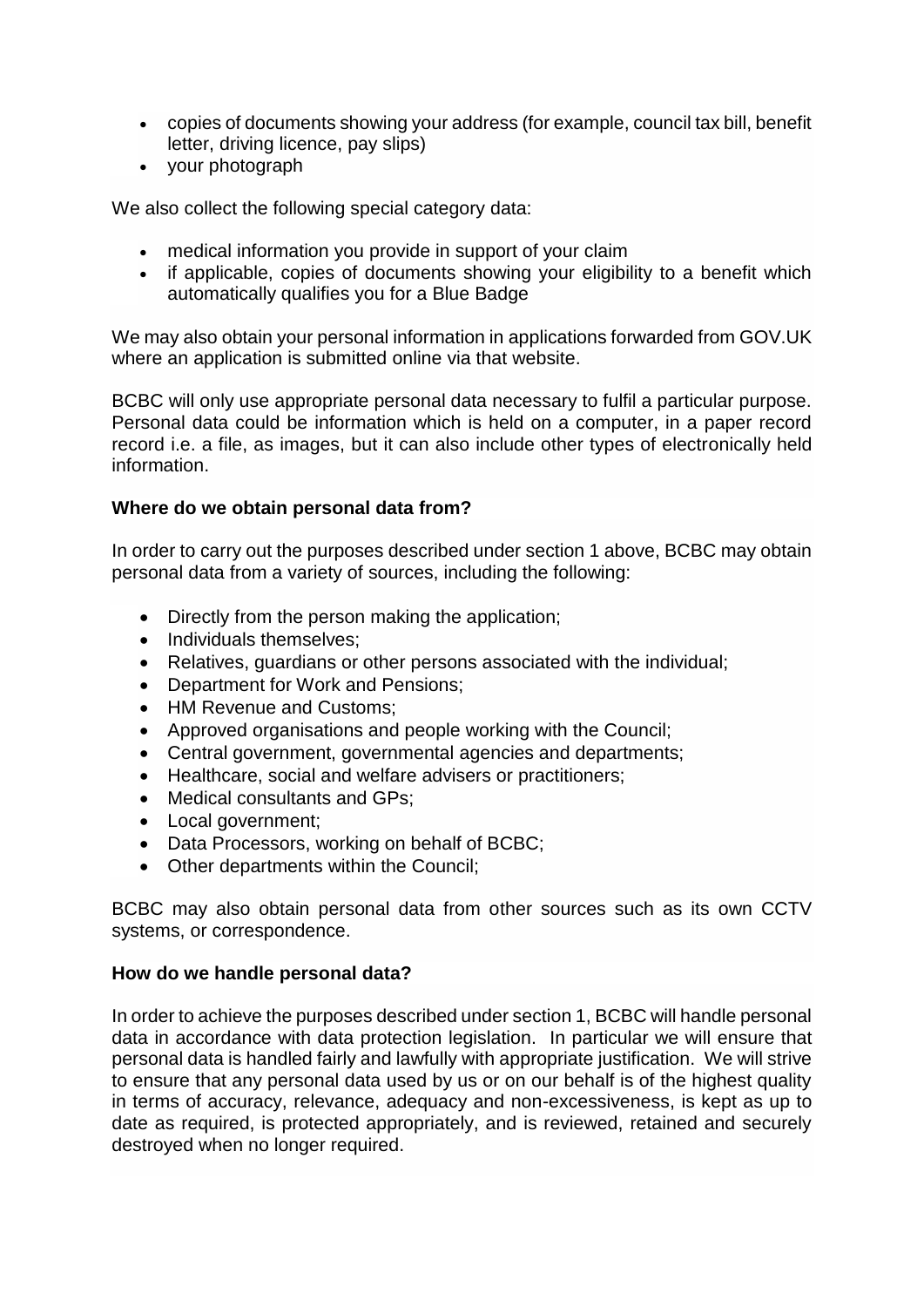- copies of documents showing your address (for example, council tax bill, benefit letter, driving licence, pay slips)
- your photograph

We also collect the following special category data:

- medical information you provide in support of your claim
- if applicable, copies of documents showing your eligibility to a benefit which automatically qualifies you for a Blue Badge

We may also obtain your personal information in applications forwarded from GOV.UK where an application is submitted online via that website.

BCBC will only use appropriate personal data necessary to fulfil a particular purpose. Personal data could be information which is held on a computer, in a paper record record i.e. a file, as images, but it can also include other types of electronically held information.

# **Where do we obtain personal data from?**

In order to carry out the purposes described under section 1 above, BCBC may obtain personal data from a variety of sources, including the following:

- Directly from the person making the application;
- Individuals themselves:
- Relatives, guardians or other persons associated with the individual;
- Department for Work and Pensions;
- HM Revenue and Customs:
- Approved organisations and people working with the Council;
- Central government, governmental agencies and departments;
- Healthcare, social and welfare advisers or practitioners;
- Medical consultants and GPs:
- Local government;
- Data Processors, working on behalf of BCBC:
- Other departments within the Council;

BCBC may also obtain personal data from other sources such as its own CCTV systems, or correspondence.

## **How do we handle personal data?**

In order to achieve the purposes described under section 1, BCBC will handle personal data in accordance with data protection legislation. In particular we will ensure that personal data is handled fairly and lawfully with appropriate justification. We will strive to ensure that any personal data used by us or on our behalf is of the highest quality in terms of accuracy, relevance, adequacy and non-excessiveness, is kept as up to date as required, is protected appropriately, and is reviewed, retained and securely destroyed when no longer required.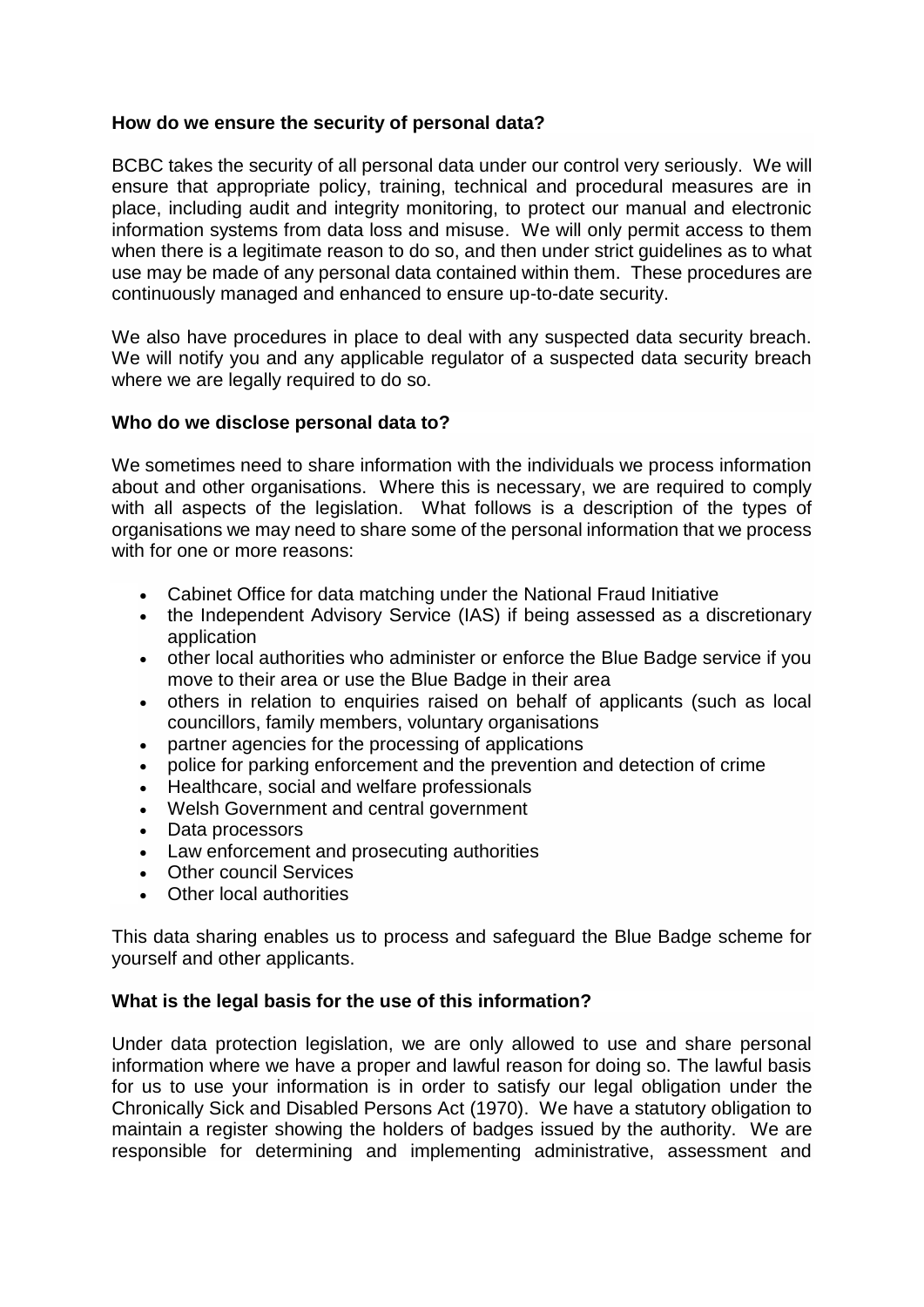## **How do we ensure the security of personal data?**

BCBC takes the security of all personal data under our control very seriously. We will ensure that appropriate policy, training, technical and procedural measures are in place, including audit and integrity monitoring, to protect our manual and electronic information systems from data loss and misuse. We will only permit access to them when there is a legitimate reason to do so, and then under strict guidelines as to what use may be made of any personal data contained within them. These procedures are continuously managed and enhanced to ensure up-to-date security.

We also have procedures in place to deal with any suspected data security breach. We will notify you and any applicable regulator of a suspected data security breach where we are legally required to do so.

# **Who do we disclose personal data to?**

We sometimes need to share information with the individuals we process information about and other organisations. Where this is necessary, we are required to comply with all aspects of the legislation. What follows is a description of the types of organisations we may need to share some of the personal information that we process with for one or more reasons:

- Cabinet Office for data matching under the National Fraud Initiative
- the Independent Advisory Service (IAS) if being assessed as a discretionary application
- other local authorities who administer or enforce the Blue Badge service if you move to their area or use the Blue Badge in their area
- others in relation to enquiries raised on behalf of applicants (such as local councillors, family members, voluntary organisations
- partner agencies for the processing of applications
- police for parking enforcement and the prevention and detection of crime
- Healthcare, social and welfare professionals
- Welsh Government and central government
- Data processors
- Law enforcement and prosecuting authorities
- Other council Services
- Other local authorities

This data sharing enables us to process and safeguard the Blue Badge scheme for yourself and other applicants.

## **What is the legal basis for the use of this information?**

Under data protection legislation, we are only allowed to use and share personal information where we have a proper and lawful reason for doing so. The lawful basis for us to use your information is in order to satisfy our legal obligation under the Chronically Sick and Disabled Persons Act (1970). We have a statutory obligation to maintain a register showing the holders of badges issued by the authority. We are responsible for determining and implementing administrative, assessment and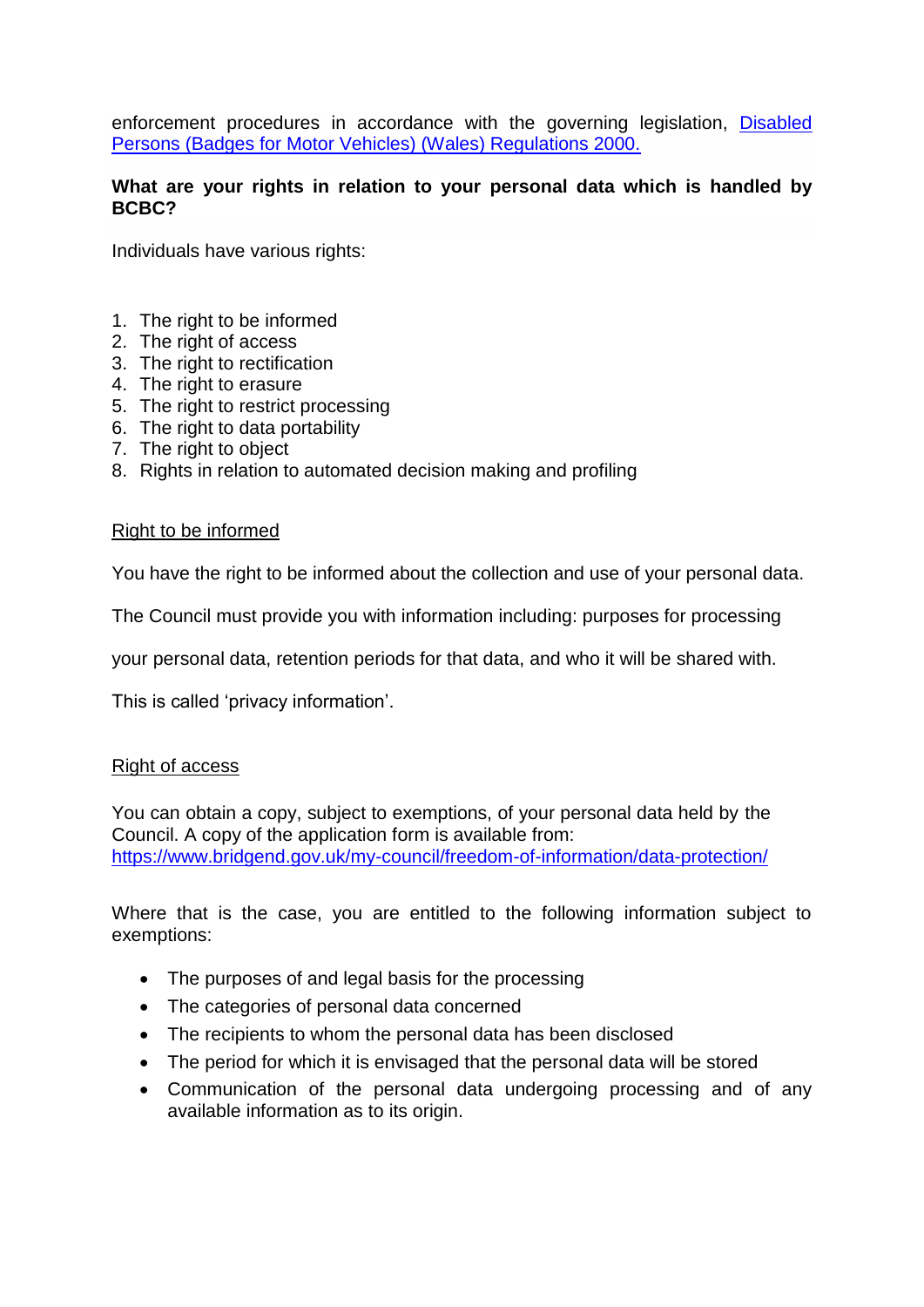enforcement procedures in accordance with the governing legislation, [Disabled](https://www.legislation.gov.uk/wsi/2000/1786/contents/made)  [Persons \(Badges for Motor Vehicles\) \(Wales\) Regulations 2000.](https://www.legislation.gov.uk/wsi/2000/1786/contents/made)

## **What are your rights in relation to your personal data which is handled by BCBC?**

Individuals have various rights:

- 1. The right to be informed
- 2. The right of access
- 3. The right to rectification
- 4. The right to erasure
- 5. The right to restrict processing
- 6. The right to data portability
- 7. The right to object
- 8. Rights in relation to automated decision making and profiling

#### Right to be informed

You have the right to be informed about the collection and use of your personal data.

The Council must provide you with information including: purposes for processing

your personal data, retention periods for that data, and who it will be shared with.

This is called 'privacy information'.

## Right of access

You can obtain a copy, subject to exemptions, of your personal data held by the Council. A copy of the application form is available from: <https://www.bridgend.gov.uk/my-council/freedom-of-information/data-protection/>

Where that is the case, you are entitled to the following information subject to exemptions:

- The purposes of and legal basis for the processing
- The categories of personal data concerned
- The recipients to whom the personal data has been disclosed
- The period for which it is envisaged that the personal data will be stored
- Communication of the personal data undergoing processing and of any available information as to its origin.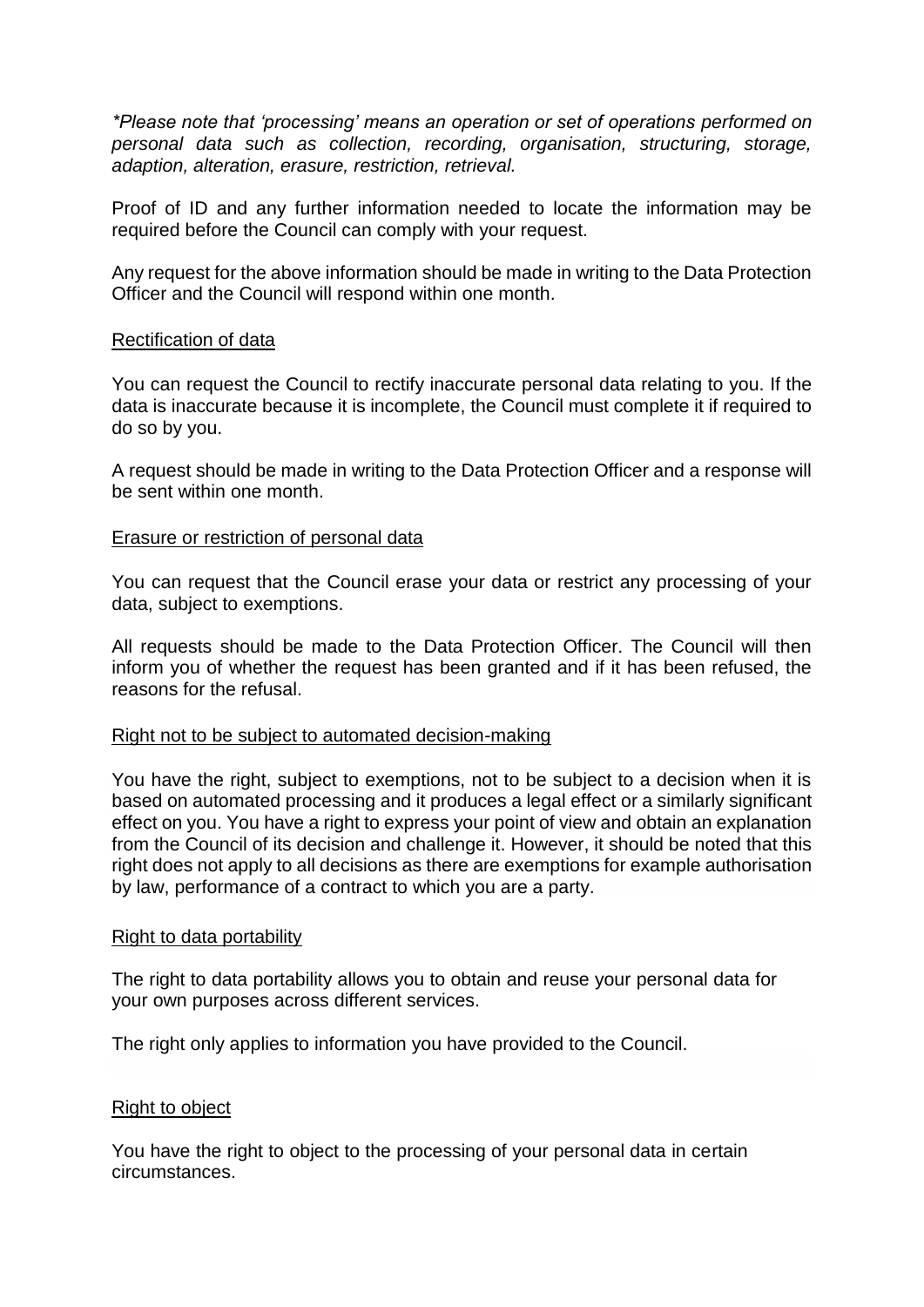*\*Please note that 'processing' means an operation or set of operations performed on personal data such as collection, recording, organisation, structuring, storage, adaption, alteration, erasure, restriction, retrieval.* 

Proof of ID and any further information needed to locate the information may be required before the Council can comply with your request.

Any request for the above information should be made in writing to the Data Protection Officer and the Council will respond within one month.

#### Rectification of data

You can request the Council to rectify inaccurate personal data relating to you. If the data is inaccurate because it is incomplete, the Council must complete it if required to do so by you.

A request should be made in writing to the Data Protection Officer and a response will be sent within one month.

#### Erasure or restriction of personal data

You can request that the Council erase your data or restrict any processing of your data, subject to exemptions.

All requests should be made to the Data Protection Officer. The Council will then inform you of whether the request has been granted and if it has been refused, the reasons for the refusal.

#### Right not to be subject to automated decision-making

You have the right, subject to exemptions, not to be subject to a decision when it is based on automated processing and it produces a legal effect or a similarly significant effect on you. You have a right to express your point of view and obtain an explanation from the Council of its decision and challenge it. However, it should be noted that this right does not apply to all decisions as there are exemptions for example authorisation by law, performance of a contract to which you are a party.

#### Right to data portability

The right to data portability allows you to obtain and reuse your personal data for your own purposes across different services.

The right only applies to information you have provided to the Council.

## Right to object

You have the right to object to the processing of your personal data in certain circumstances.